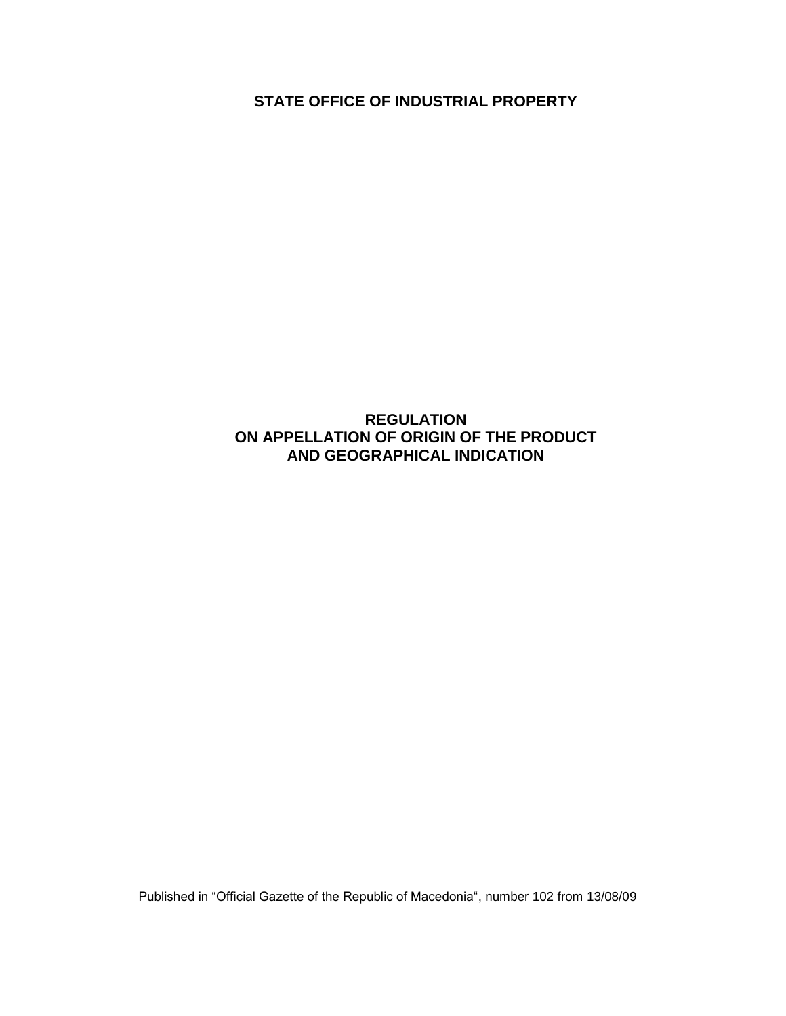**STATE OFFICE OF INDUSTRIAL PROPERTY**

## **REGULATION ON APPELLATION OF ORIGIN OF THE PRODUCT AND GEOGRAPHICAL INDICATION**

Published in "Official Gazette of the Republic of Macedonia", number 102 from 13/08/09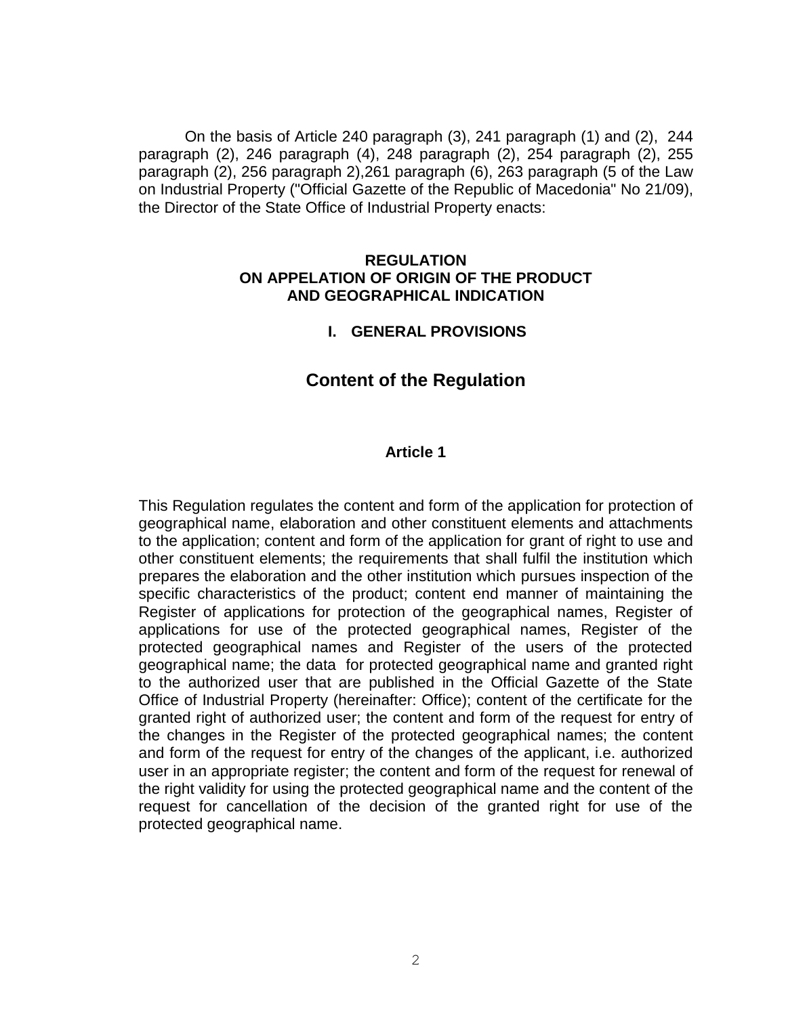On the basis of Article 240 paragraph (3), 241 paragraph (1) and (2), 244 paragraph (2), 246 paragraph (4), 248 paragraph (2), 254 paragraph (2), 255 paragraph (2), 256 paragraph 2),261 paragraph (6), 263 paragraph (5 of the Law on Industrial Property ("Official Gazette of the Republic of Macedonia" No 21/09), the Director of the State Office of Industrial Property enacts:

#### **REGULATION ON APPELATION OF ORIGIN OF THE PRODUCT AND GEOGRAPHICAL INDICATION**

#### **I. GENERAL PROVISIONS**

## **Content of the Regulation**

#### **Article 1**

This Regulation regulates the content and form of the application for protection of geographical name, elaboration and other constituent elements and attachments to the application; content and form of the application for grant of right to use and other constituent elements; the requirements that shall fulfil the institution which prepares the elaboration and the other institution which pursues inspection of the specific characteristics of the product; content end manner of maintaining the Register of applications for protection of the geographical names, Register of applications for use of the protected geographical names, Register of the protected geographical names and Register of the users of the protected geographical name; the data for protected geographical name and granted right to the authorized user that are published in the Official Gazette of the State Office of Industrial Property (hereinafter: Office); content of the certificate for the granted right of authorized user; the content and form of the request for entry of the changes in the Register of the protected geographical names; the content and form of the request for entry of the changes of the applicant, i.e. authorized user in an appropriate register; the content and form of the request for renewal of the right validity for using the protected geographical name and the content of the request for cancellation of the decision of the granted right for use of the protected geographical name.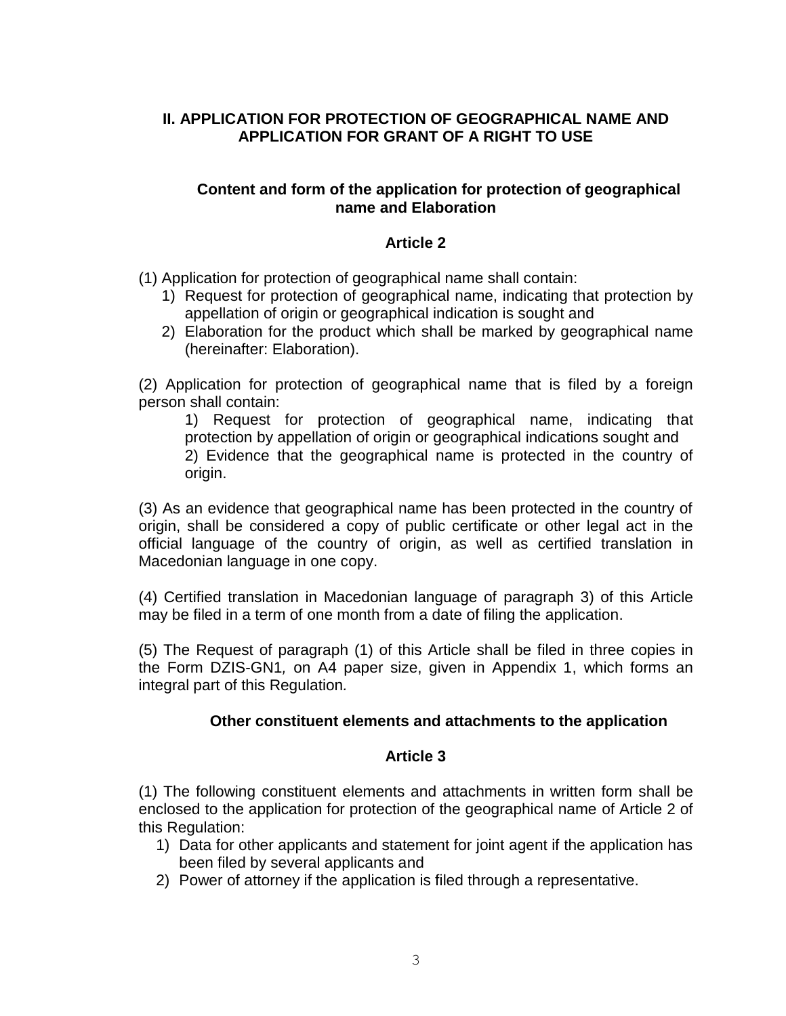## **II. APPLICATION FOR PROTECTION OF GEOGRAPHICAL NAME AND APPLICATION FOR GRANT OF A RIGHT TO USE**

#### **Content and form of the application for protection of geographical name and Elaboration**

## **Article 2**

(1) Application for protection of geographical name shall contain:

- 1) Request for protection of geographical name, indicating that protection by appellation of origin or geographical indication is sought and
- 2) Elaboration for the product which shall be marked by geographical name (hereinafter: Elaboration).

(2) Application for protection of geographical name that is filed by a foreign person shall contain:

1) Request for protection of geographical name, indicating that protection by appellation of origin or geographical indications sought and 2) Evidence that the geographical name is protected in the country of origin.

(3) As an evidence that geographical name has been protected in the country of origin, shall be considered a copy of public certificate or other legal act in the official language of the country of origin, as well as certified translation in Macedonian language in one copy.

(4) Certified translation in Macedonian language of paragraph 3) of this Article may be filed in a term of one month from a date of filing the application.

(5) The Request of paragraph (1) of this Article shall be filed in three copies in the Form DZIS-GN1*,* on A4 paper size, given in Appendix 1, which forms an integral part of this Regulation*.*

#### **Other constituent elements and attachments to the application**

### **Article 3**

(1) The following constituent elements and attachments in written form shall be enclosed to the application for protection of the geographical name of Article 2 of this Regulation:

- 1) Data for other applicants and statement for joint agent if the application has been filed by several applicants and
- 2) Power of attorney if the application is filed through a representative.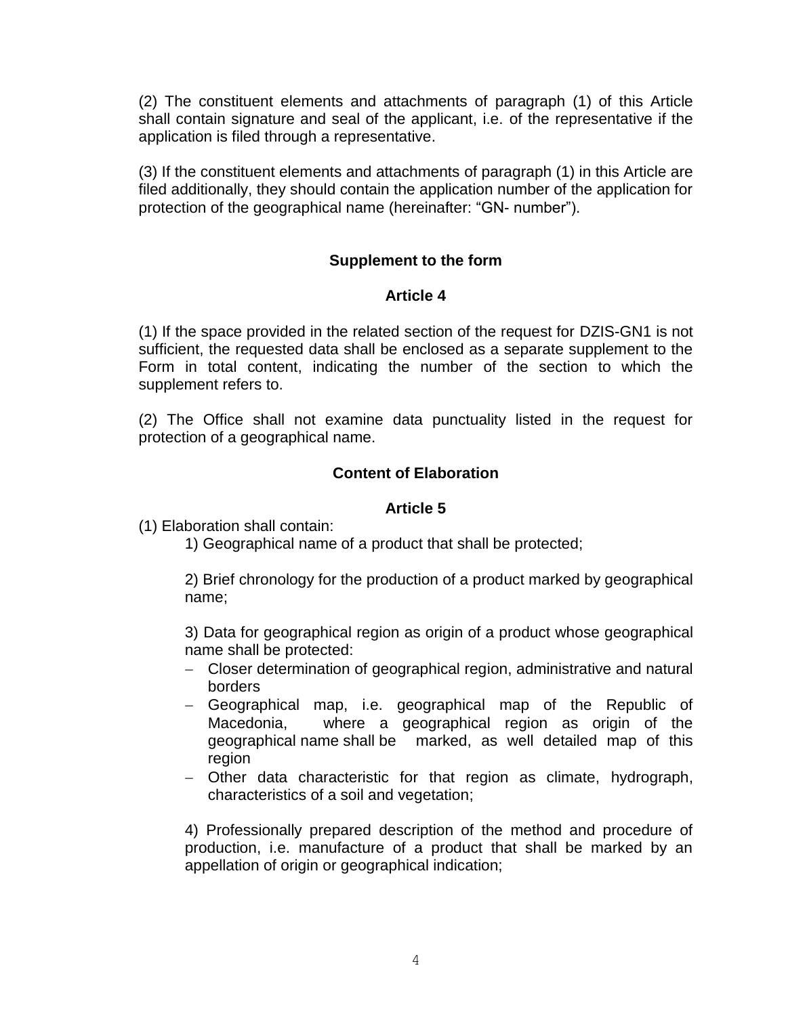(2) The constituent elements and attachments of paragraph (1) of this Article shall contain signature and seal of the applicant, i.e. of the representative if the application is filed through a representative.

(3) If the constituent elements and attachments of paragraph (1) in this Article are filed additionally, they should contain the application number of the application for protection of the geographical name (hereinafter: "GN- number").

### **Supplement to the form**

### **Article 4**

(1) If the space provided in the related section of the request for DZIS-GN1 is not sufficient, the requested data shall be enclosed as a separate supplement to the Form in total content, indicating the number of the section to which the supplement refers to.

(2) The Office shall not examine data punctuality listed in the request for protection of a geographical name.

### **Content of Elaboration**

### **Article 5**

(1) Elaboration shall contain:

1) Geographical name of a product that shall be protected;

2) Brief chronology for the production of a product marked by geographical name;

3) Data for geographical region as origin of a product whose geographical name shall be protected:

- Closer determination of geographical region, administrative and natural borders
- Geographical map, i.e. geographical map of the Republic of Macedonia, where a geographical region as origin of the geographical name shall be marked, as well detailed map of this region
- Other data characteristic for that region as climate, hydrograph, characteristics of a soil and vegetation;

4) Professionally prepared description of the method and procedure of production, i.e. manufacture of a product that shall be marked by an appellation of origin or geographical indication;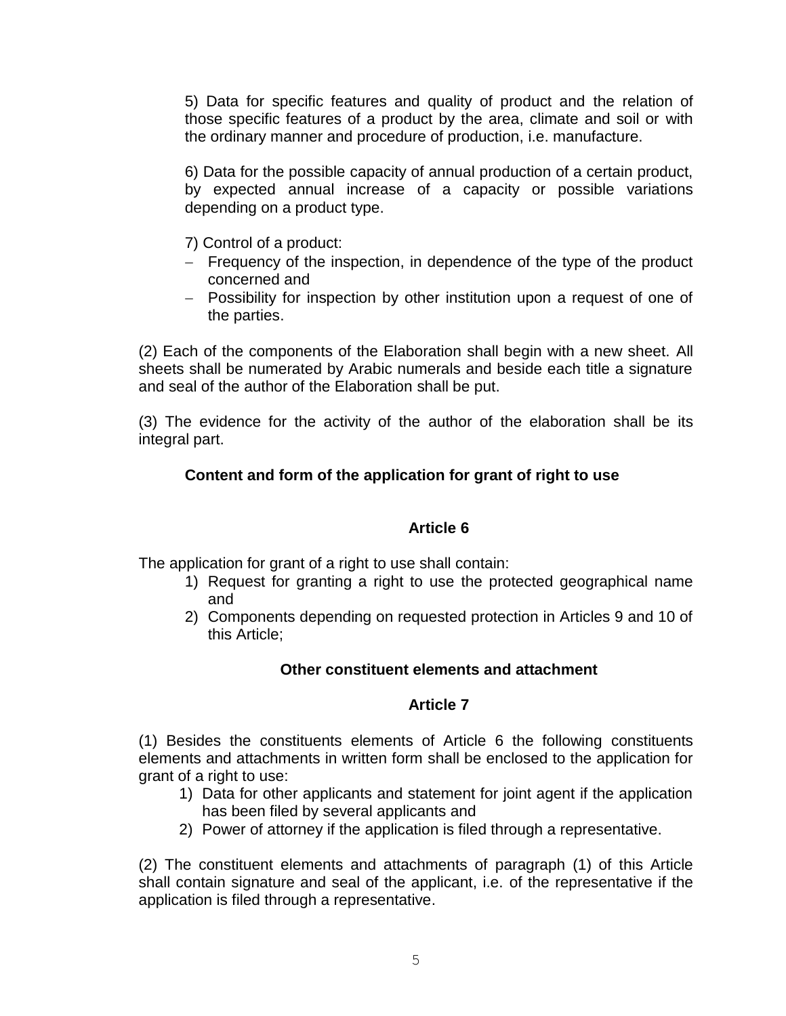5) Data for specific features and quality of product and the relation of those specific features of a product by the area, climate and soil or with the ordinary manner and procedure of production, i.e. manufacture.

6) Data for the possible capacity of annual production of a certain product, by expected annual increase of a capacity or possible variations depending on a product type.

- 7) Control of a product:
- Frequency of the inspection, in dependence of the type of the product concerned and
- Possibility for inspection by other institution upon a request of one of the parties.

(2) Each of the components of the Elaboration shall begin with a new sheet. All sheets shall be numerated by Arabic numerals and beside each title a signature and seal of the author of the Elaboration shall be put.

(3) The evidence for the activity of the author of the elaboration shall be its integral part.

# **Content and form of the application for grant of right to use**

### **Article 6**

The application for grant of a right to use shall contain:

- 1) Request for granting a right to use the protected geographical name and
- 2) Components depending on requested protection in Articles 9 and 10 of this Article;

# **Other constituent elements and attachment**

# **Article 7**

(1) Besides the constituents elements of Article 6 the following constituents elements and attachments in written form shall be enclosed to the application for grant of a right to use:

- 1) Data for other applicants and statement for joint agent if the application has been filed by several applicants and
- 2) Power of attorney if the application is filed through a representative.

(2) The constituent elements and attachments of paragraph (1) of this Article shall contain signature and seal of the applicant, i.e. of the representative if the application is filed through a representative.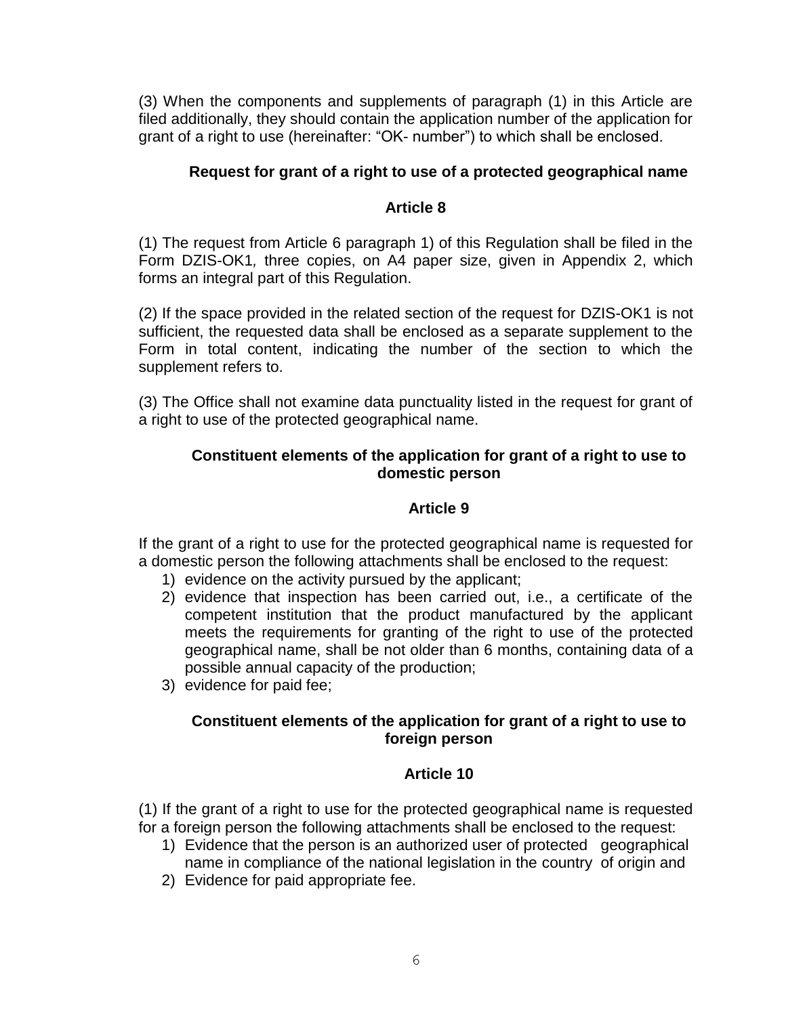(3) When the components and supplements of paragraph (1) in this Article are filed additionally, they should contain the application number of the application for grant of a right to use (hereinafter: "OK- number") to which shall be enclosed.

## **Request for grant of a right to use of a protected geographical name**

### **Article 8**

(1) The request from Article 6 paragraph 1) of this Regulation shall be filed in the Form DZIS-OK1*,* three copies, on A4 paper size, given in Appendix 2, which forms an integral part of this Regulation.

(2) If the space provided in the related section of the request for DZIS-OK1 is not sufficient, the requested data shall be enclosed as a separate supplement to the Form in total content, indicating the number of the section to which the supplement refers to.

(3) The Office shall not examine data punctuality listed in the request for grant of a right to use of the protected geographical name.

## **Constituent elements of the application for grant of a right to use to domestic person**

### **Article 9**

If the grant of a right to use for the protected geographical name is requested for a domestic person the following attachments shall be enclosed to the request:

- 1) evidence on the activity pursued by the applicant;
- 2) evidence that inspection has been carried out, i.e., a certificate of the competent institution that the product manufactured by the applicant meets the requirements for granting of the right to use of the protected geographical name, shall be not older than 6 months, containing data of a possible annual capacity of the production;
- 3) evidence for paid fee;

## **Constituent elements of the application for grant of a right to use to foreign person**

### **Article 10**

(1) If the grant of a right to use for the protected geographical name is requested for a foreign person the following attachments shall be enclosed to the request:

- 1) Evidence that the person is an authorized user of protected geographical name in compliance of the national legislation in the country of origin and
- 2) Evidence for paid appropriate fee.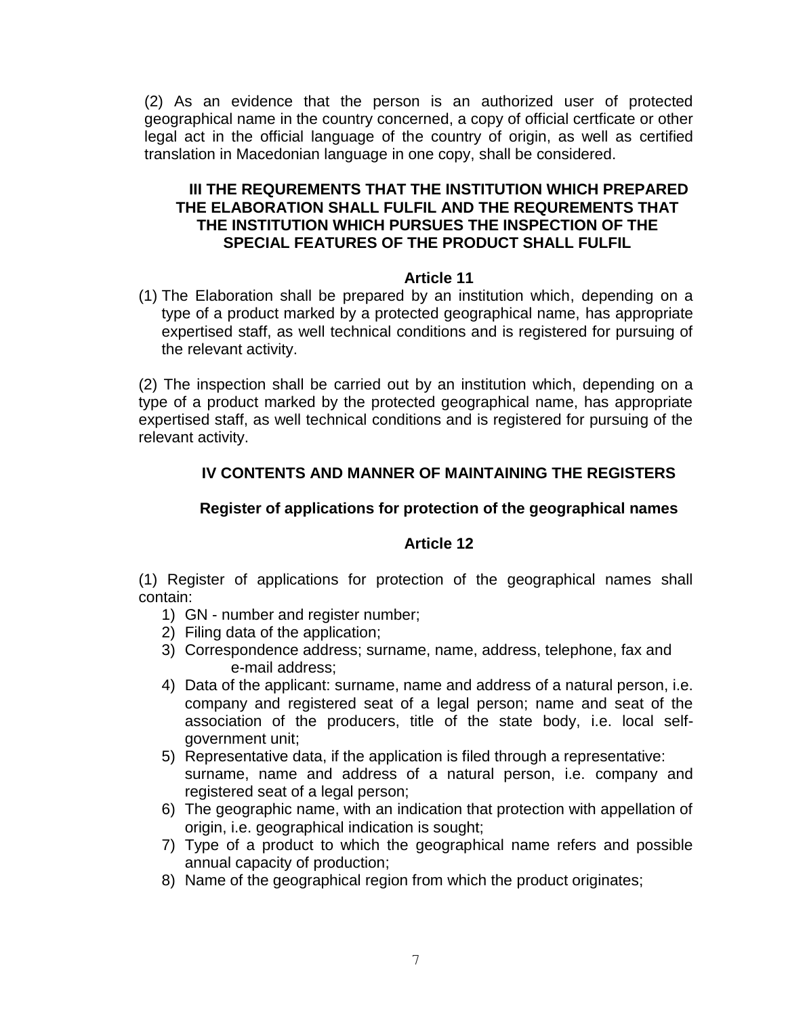(2) As an evidence that the person is an authorized user of protected geographical name in the country concerned, a copy of official certficate or other legal act in the official language of the country of origin, as well as certified translation in Macedonian language in one copy, shall be considered.

### **III THE REQUREMENTS THAT THE INSTITUTION WHICH PREPARED THE ELABORATION SHALL FULFIL AND THE REQUREMENTS THAT THE INSTITUTION WHICH PURSUES THE INSPECTION OF THE SPECIAL FEATURES OF THE PRODUCT SHALL FULFIL**

### **Article 11**

(1) The Elaboration shall be prepared by an institution which, depending on a type of a product marked by a protected geographical name, has appropriate expertised staff, as well technical conditions and is registered for pursuing of the relevant activity.

(2) The inspection shall be carried out by an institution which, depending on a type of a product marked by the protected geographical name, has appropriate expertised staff, as well technical conditions and is registered for pursuing of the relevant activity.

# **IV CONTENTS AND MANNER OF MAINTAINING THE REGISTERS**

# **Register of applications for protection of the geographical names**

### **Article 12**

(1) Register of applications for protection of the geographical names shall contain:

- 1) GN number and register number;
- 2) Filing data of the application;
- 3) Correspondence address; surname, name, address, telephone, fax and e-mail address;
- 4) Data of the applicant: surname, name and address of a natural person, i.e. company and registered seat of a legal person; name and seat of the association of the producers, title of the state body, i.e. local selfgovernment unit;
- 5) Representative data, if the application is filed through a representative: surname, name and address of a natural person, i.e. company and registered seat of a legal person;
- 6) The geographic name, with an indication that protection with appellation of origin, i.e. geographical indication is sought;
- 7) Type of a product to which the geographical name refers and possible annual capacity of production;
- 8) Name of the geographical region from which the product originates;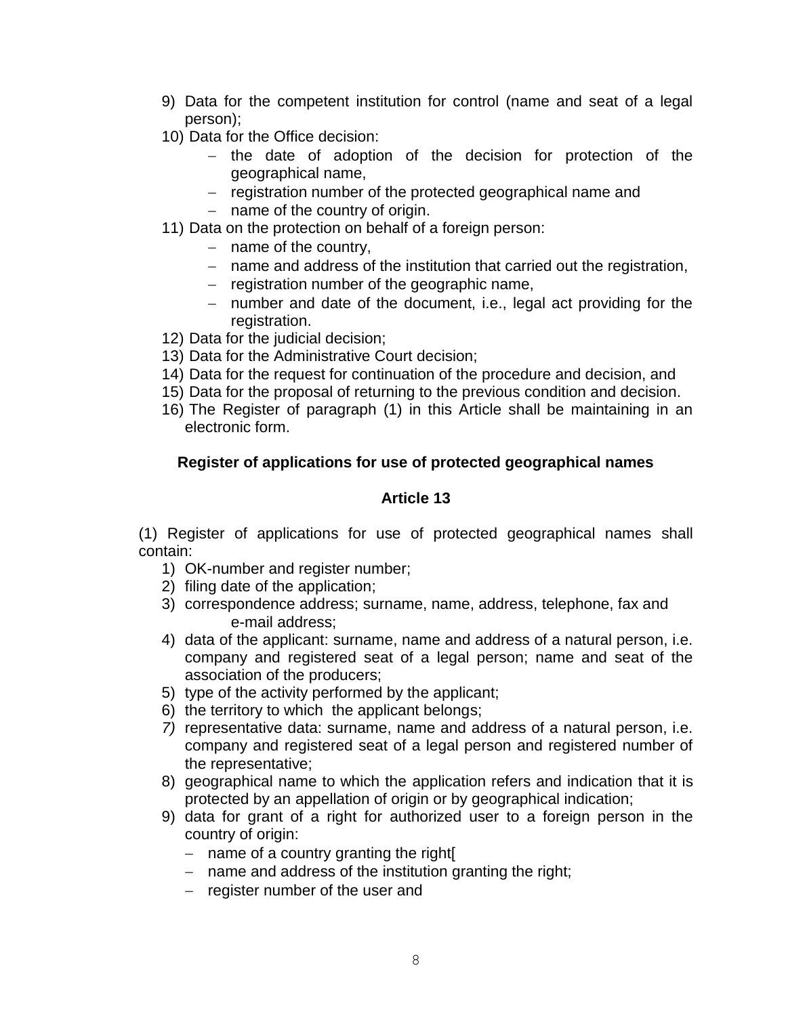- 9) Data for the competent institution for control (name and seat of a legal person);
- 10) Data for the Office decision:
	- $-$  the date of adoption of the decision for protection of the geographical name,
	- registration number of the protected geographical name and
	- $-$  name of the country of origin.
- 11) Data on the protection on behalf of a foreign person:
	- $-$  name of the country,
	- name and address of the institution that carried out the registration,
	- $-$  registration number of the geographic name,
	- number and date of the document, i.e., legal act providing for the registration.
- 12) Data for the judicial decision;
- 13) Data for the Administrative Court decision;
- 14) Data for the request for continuation of the procedure and decision, and
- 15) Data for the proposal of returning to the previous condition and decision.
- 16) The Register of paragraph (1) in this Article shall be maintaining in an electronic form.

# **Register of applications for use of protected geographical names**

# **Article 13**

(1) Register of applications for use of protected geographical names shall contain:

- 1) OK-number and register number;
- 2) filing date of the application;
- 3) correspondence address; surname, name, address, telephone, fax and e-mail address;
- 4) data of the applicant: surname, name and address of a natural person, i.e. company and registered seat of a legal person; name and seat of the association of the producers;
- 5) type of the activity performed by the applicant;
- 6) the territory to which the applicant belongs;
- *7)* representative data: surname, name and address of a natural person, i.e. company and registered seat of a legal person and registered number of the representative;
- 8) geographical name to which the application refers and indication that it is protected by an appellation of origin or by geographical indication;
- 9) data for grant of a right for authorized user to a foreign person in the country of origin:
	- $-$  name of a country granting the right
	- $-$  name and address of the institution granting the right;
	- $-$  register number of the user and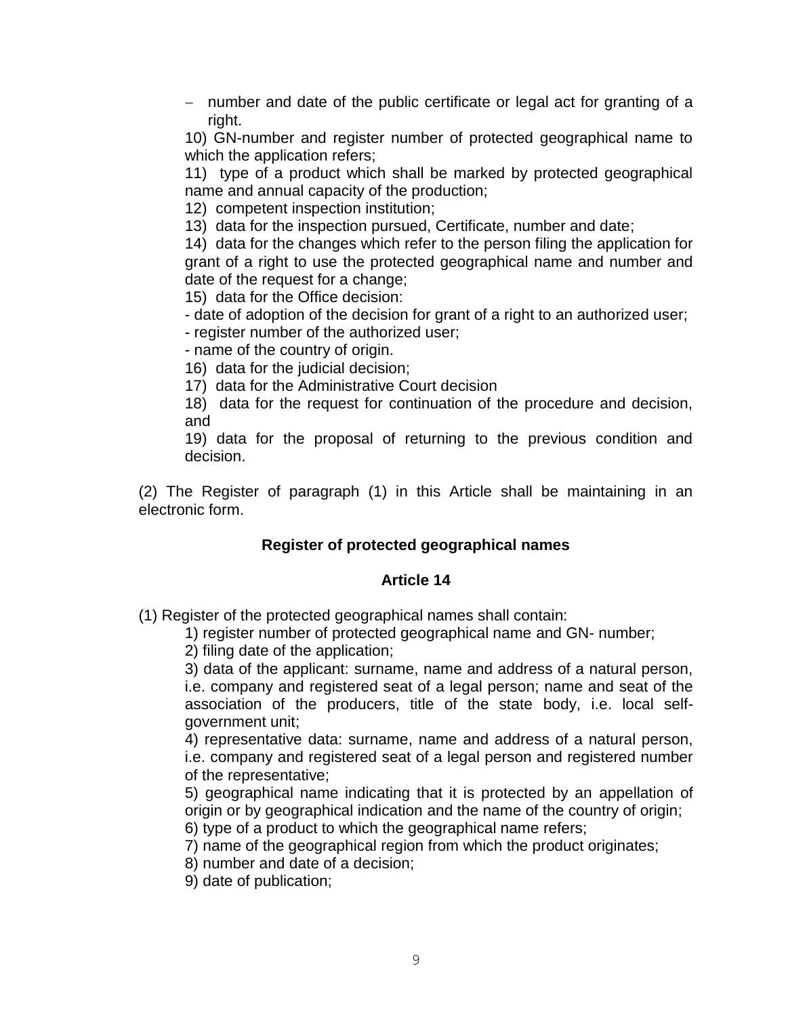- number and date of the public certificate or legal act for granting of a right.

10) GN-number and register number of protected geographical name to which the application refers;

11) type of a product which shall be marked by protected geographical name and annual capacity of the production;

12) competent inspection institution;

13) data for the inspection pursued, Certificate, number and date;

14) data for the changes which refer to the person filing the application for grant of a right to use the protected geographical name and number and date of the request for a change;

15) data for the Office decision:

- date of adoption of the decision for grant of a right to an authorized user;

- register number of the authorized user;

- name of the country of origin.

16) data for the judicial decision;

17) data for the Administrative Court decision

18) data for the request for continuation of the procedure and decision, and

19) data for the proposal of returning to the previous condition and decision.

(2) The Register of paragraph (1) in this Article shall be maintaining in an electronic form.

### **Register of protected geographical names**

### **Article 14**

(1) Register of the protected geographical names shall contain:

1) register number of protected geographical name and GN- number;

2) filing date of the application;

3) data of the applicant: surname, name and address of a natural person, i.e. company and registered seat of a legal person; name and seat of the association of the producers, title of the state body, i.e. local selfgovernment unit;

4) representative data: surname, name and address of a natural person, i.e. company and registered seat of a legal person and registered number of the representative;

5) geographical name indicating that it is protected by an appellation of origin or by geographical indication and the name of the country of origin;

6) type of a product to which the geographical name refers;

- 7) name of the geographical region from which the product originates;
- 8) number and date of a decision;

9) date of publication;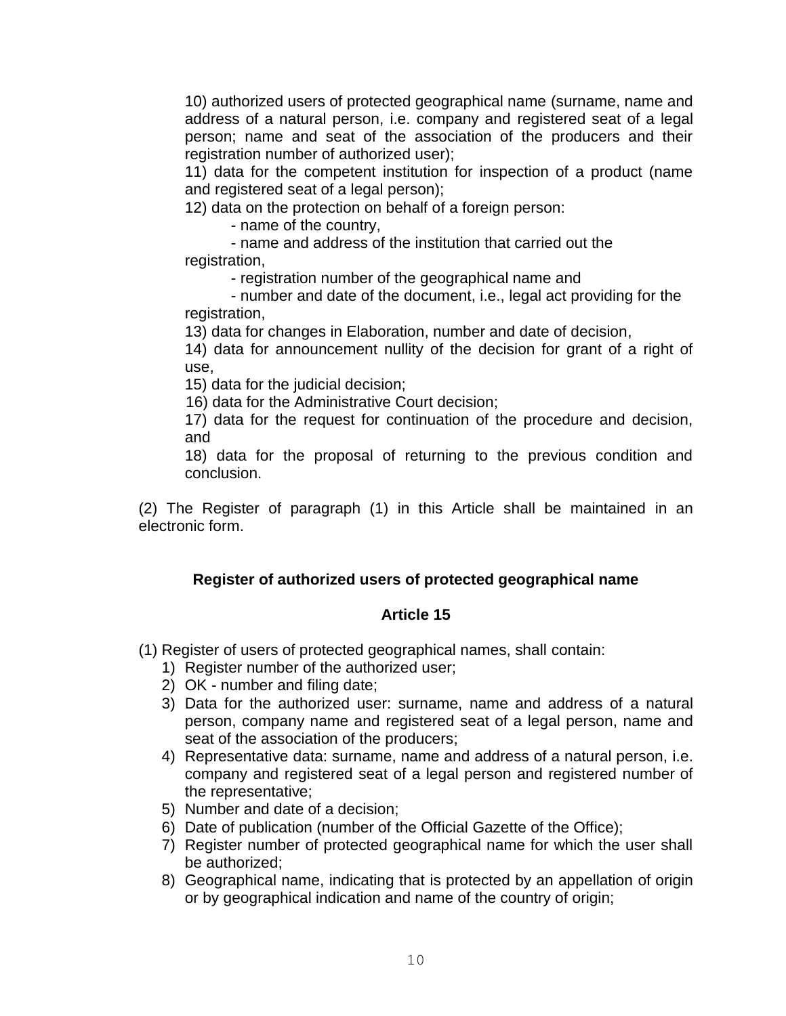10) authorized users of protected geographical name (surname, name and address of a natural person, i.e. company and registered seat of a legal person; name and seat of the association of the producers and their registration number of authorized user);

11) data for the competent institution for inspection of a product (name and registered seat of a legal person);

12) data on the protection on behalf of a foreign person:

- name of the country,

- name and address of the institution that carried out the registration,

- registration number of the geographical name and

- number and date of the document, i.e., legal act providing for the registration,

13) data for changes in Elaboration, number and date of decision,

14) data for announcement nullity of the decision for grant of a right of use,

15) data for the judicial decision;

16) data for the Administrative Court decision;

17) data for the request for continuation of the procedure and decision, and

18) data for the proposal of returning to the previous condition and conclusion.

(2) The Register of paragraph (1) in this Article shall be maintained in an electronic form.

# **Register of authorized users of protected geographical name**

# **Article 15**

(1) Register of users of protected geographical names, shall contain:

- 1) Register number of the authorized user;
- 2) OK number and filing date;
- 3) Data for the authorized user: surname, name and address of a natural person, company name and registered seat of a legal person, name and seat of the association of the producers;
- 4) Representative data: surname, name and address of a natural person, i.e. company and registered seat of a legal person and registered number of the representative;
- 5) Number and date of a decision;
- 6) Date of publication (number of the Official Gazette of the Office);
- 7) Register number of protected geographical name for which the user shall be authorized;
- 8) Geographical name, indicating that is protected by an appellation of origin or by geographical indication and name of the country of origin;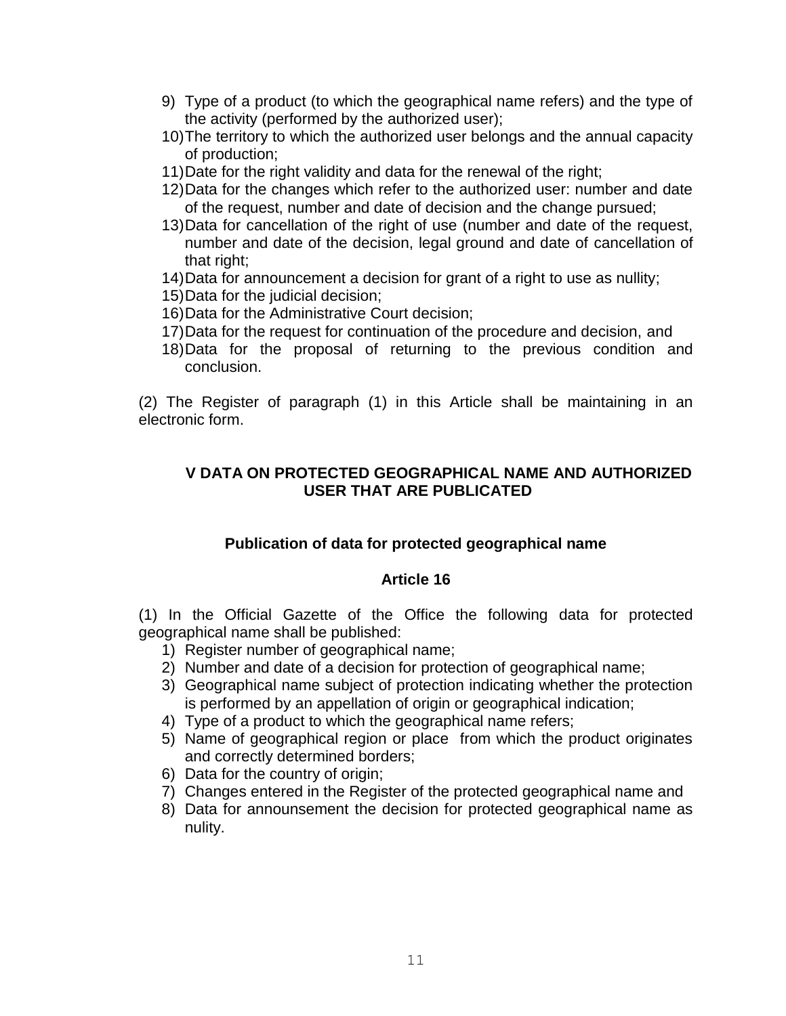- 9) Type of a product (to which the geographical name refers) and the type of the activity (performed by the authorized user);
- 10)The territory to which the authorized user belongs and the annual capacity of production;
- 11)Date for the right validity and data for the renewal of the right;
- 12)Data for the changes which refer to the authorized user: number and date of the request, number and date of decision and the change pursued;
- 13)Data for cancellation of the right of use (number and date of the request, number and date of the decision, legal ground and date of cancellation of that right;
- 14)Data for announcement a decision for grant of a right to use as nullity;
- 15)Data for the judicial decision;
- 16)Data for the Administrative Court decision;
- 17)Data for the request for continuation of the procedure and decision, and
- 18)Data for the proposal of returning to the previous condition and conclusion.

(2) The Register of paragraph (1) in this Article shall be maintaining in an electronic form.

# **V DATA ON PROTECTED GEOGRAPHICAL NAME AND AUTHORIZED USER THAT ARE PUBLICATED**

### **Publication of data for protected geographical name**

### **Article 16**

(1) In the Official Gazette of the Office the following data for protected geographical name shall be published:

- 1) Register number of geographical name;
- 2) Number and date of a decision for protection of geographical name;
- 3) Geographical name subject of protection indicating whether the protection is performed by an appellation of origin or geographical indication;
- 4) Type of a product to which the geographical name refers;
- 5) Name of geographical region or place from which the product originates and correctly determined borders;
- 6) Data for the country of origin;
- 7) Changes entered in the Register of the protected geographical name and
- 8) Data for announsement the decision for protected geographical name as nulity.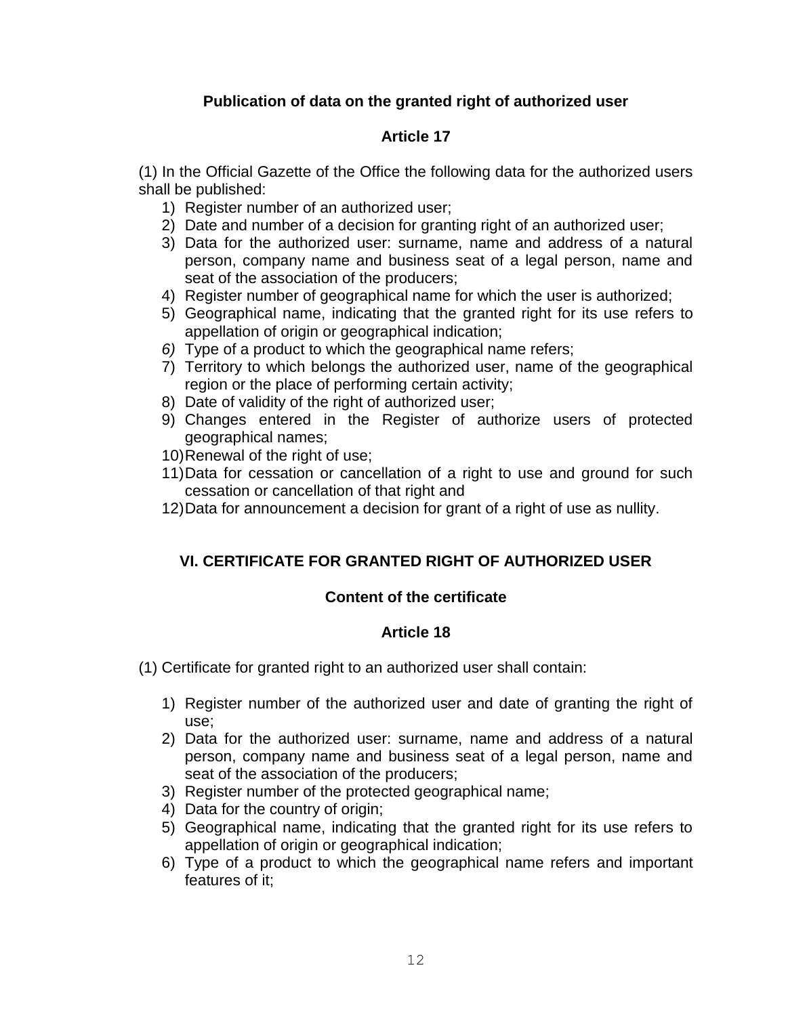# **Publication of data on the granted right of authorized user**

# **Article 17**

(1) In the Official Gazette of the Office the following data for the authorized users shall be published:

- 1) Register number of an authorized user;
- 2) Date and number of a decision for granting right of an authorized user;
- 3) Data for the authorized user: surname, name and address of a natural person, company name and business seat of a legal person, name and seat of the association of the producers;
- 4) Register number of geographical name for which the user is authorized;
- 5) Geographical name, indicating that the granted right for its use refers to appellation of origin or geographical indication;
- *6)* Type of a product to which the geographical name refers;
- 7) Territory to which belongs the authorized user, name of the geographical region or the place of performing certain activity;
- 8) Date of validity of the right of authorized user;
- 9) Changes entered in the Register of authorize users of protected geographical names;
- 10)Renewal of the right of use;
- 11)Data for cessation or cancellation of a right to use and ground for such cessation or cancellation of that right and
- 12)Data for announcement a decision for grant of a right of use as nullity.

# **VI. CERTIFICATE FOR GRANTED RIGHT OF AUTHORIZED USER**

# **Content of the certificate**

# **Article 18**

- (1) Certificate for granted right to an authorized user shall contain:
	- 1) Register number of the authorized user and date of granting the right of use;
	- 2) Data for the authorized user: surname, name and address of a natural person, company name and business seat of a legal person, name and seat of the association of the producers;
	- 3) Register number of the protected geographical name;
	- 4) Data for the country of origin;
	- 5) Geographical name, indicating that the granted right for its use refers to appellation of origin or geographical indication;
	- 6) Type of a product to which the geographical name refers and important features of it;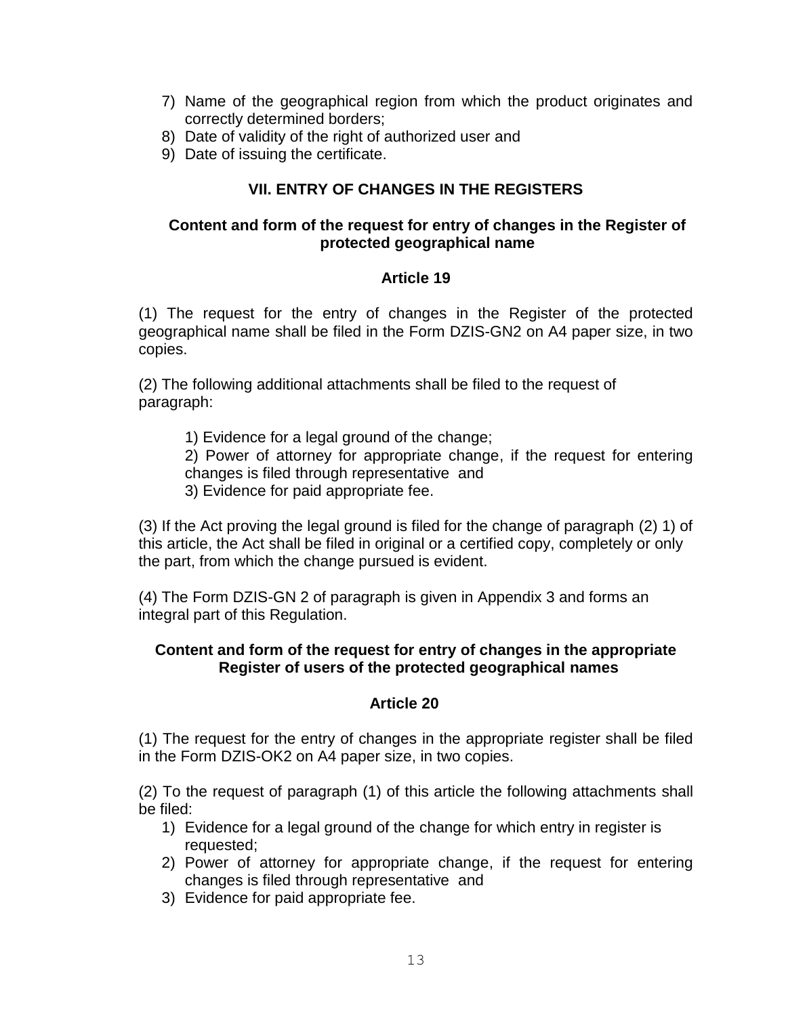- 7) Name of the geographical region from which the product originates and correctly determined borders;
- 8) Date of validity of the right of authorized user and
- 9) Date of issuing the certificate.

# **VII. ENTRY OF CHANGES IN THE REGISTERS**

### **Content and form of the request for entry of changes in the Register of protected geographical name**

### **Article 19**

(1) The request for the entry of changes in the Register of the protected geographical name shall be filed in the Form DZIS-GN2 on A4 paper size, in two copies.

(2) The following additional attachments shall be filed to the request of paragraph:

1) Evidence for a legal ground of the change;

2) Power of attorney for appropriate change, if the request for entering changes is filed through representative and

3) Evidence for paid appropriate fee.

(3) If the Act proving the legal ground is filed for the change of paragraph (2) 1) of this article, the Act shall be filed in original or a certified copy, completely or only the part, from which the change pursued is evident.

(4) The Form DZIS-GN 2 of paragraph is given in Appendix 3 and forms an integral part of this Regulation.

## **Content and form of the request for entry of changes in the appropriate Register of users of the protected geographical names**

### **Article 20**

(1) The request for the entry of changes in the appropriate register shall be filed in the Form DZIS-OK2 on A4 paper size, in two copies.

(2) To the request of paragraph (1) of this article the following attachments shall be filed:

- 1) Evidence for a legal ground of the change for which entry in register is requested;
- 2) Power of attorney for appropriate change, if the request for entering changes is filed through representative and
- 3) Evidence for paid appropriate fee.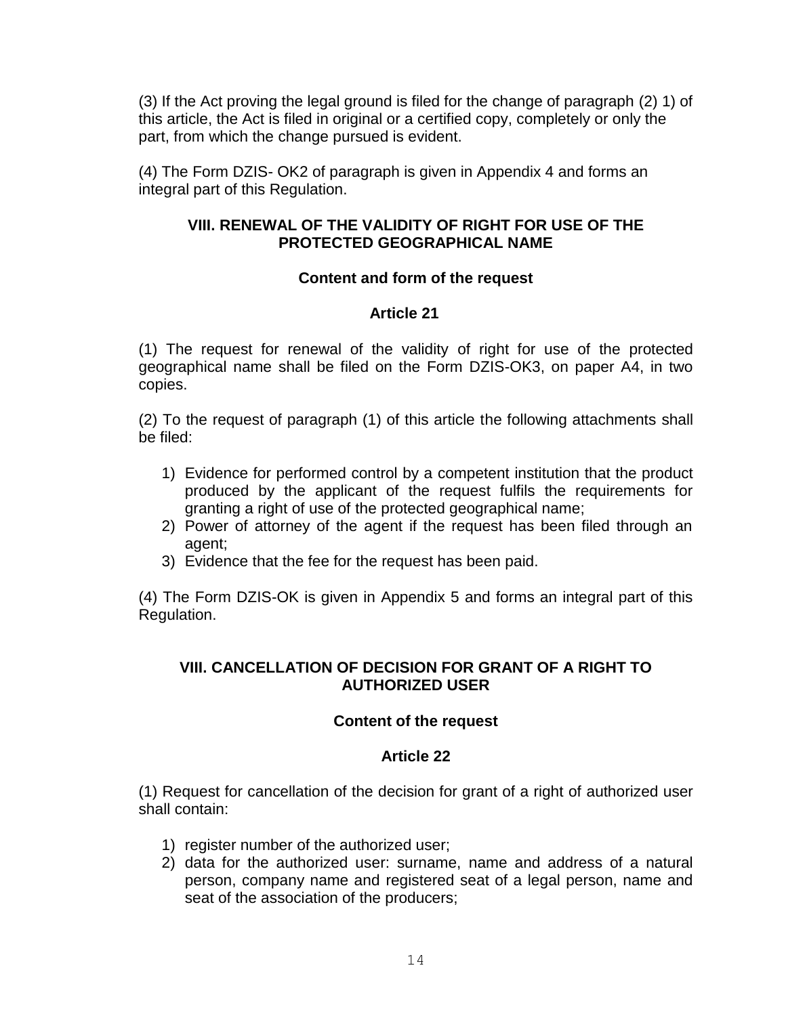(3) If the Act proving the legal ground is filed for the change of paragraph (2) 1) of this article, the Act is filed in original or a certified copy, completely or only the part, from which the change pursued is evident.

(4) The Form DZIS- OK2 of paragraph is given in Appendix 4 and forms an integral part of this Regulation.

### **VIII. RENEWAL OF THE VALIDITY OF RIGHT FOR USE OF THE PROTECTED GEOGRAPHICAL NAME**

## **Content and form of the request**

## **Article 21**

(1) The request for renewal of the validity of right for use of the protected geographical name shall be filed on the Form DZIS-OK3, on paper A4, in two copies.

(2) To the request of paragraph (1) of this article the following attachments shall be filed:

- 1) Evidence for performed control by a competent institution that the product produced by the applicant of the request fulfils the requirements for granting a right of use of the protected geographical name;
- 2) Power of attorney of the agent if the request has been filed through an agent;
- 3) Evidence that the fee for the request has been paid.

(4) The Form DZIS-OK is given in Appendix 5 and forms an integral part of this Regulation.

### **VIII. CANCELLATION OF DECISION FOR GRANT OF A RIGHT TO AUTHORIZED USER**

### **Content of the request**

### **Article 22**

(1) Request for cancellation of the decision for grant of a right of authorized user shall contain:

- 1) register number of the authorized user;
- 2) data for the authorized user: surname, name and address of a natural person, company name and registered seat of a legal person, name and seat of the association of the producers;